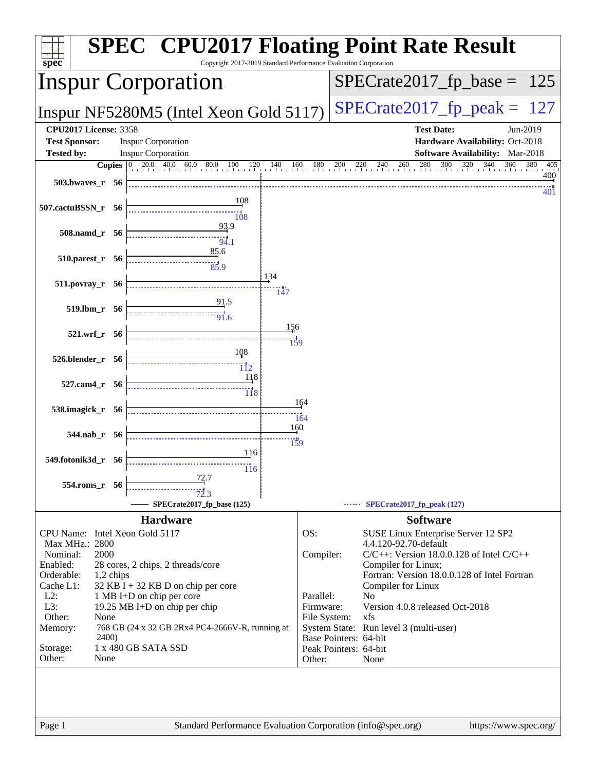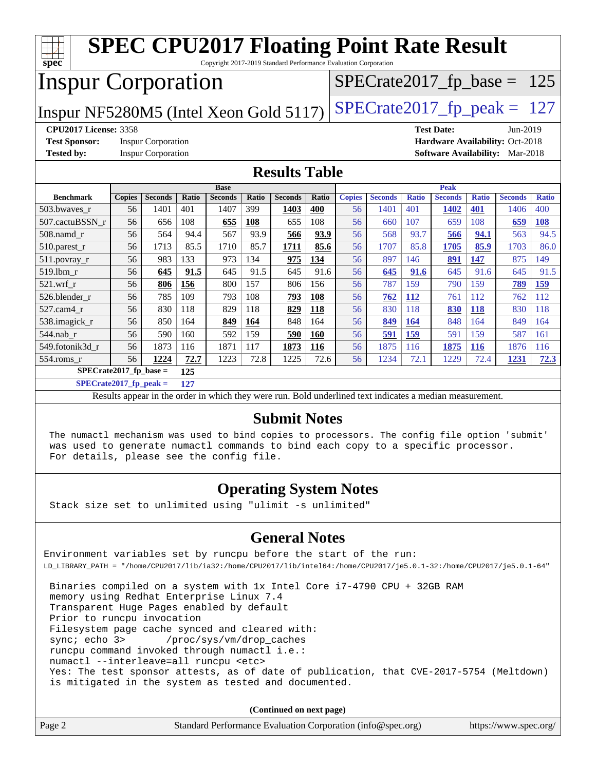| <b>SPEC CPU2017 Floating Point Rate Result</b><br>$spec^*$<br>Copyright 2017-2019 Standard Performance Evaluation Corporation |               |                           |              |                               |       |                               |                               |                                        |                |              |                                 |              |                |              |
|-------------------------------------------------------------------------------------------------------------------------------|---------------|---------------------------|--------------|-------------------------------|-------|-------------------------------|-------------------------------|----------------------------------------|----------------|--------------|---------------------------------|--------------|----------------|--------------|
| <b>Inspur Corporation</b>                                                                                                     |               |                           |              |                               |       |                               | $SPECrate2017_fp\_base = 125$ |                                        |                |              |                                 |              |                |              |
| Inspur NF5280M5 (Intel Xeon Gold 5117)                                                                                        |               |                           |              |                               |       | $SPECTate2017$ _fp_peak = 127 |                               |                                        |                |              |                                 |              |                |              |
| <b>CPU2017 License: 3358</b><br><b>Test Date:</b><br>Jun-2019                                                                 |               |                           |              |                               |       |                               |                               |                                        |                |              |                                 |              |                |              |
| <b>Test Sponsor:</b>                                                                                                          |               | <b>Inspur Corporation</b> |              |                               |       |                               |                               |                                        |                |              | Hardware Availability: Oct-2018 |              |                |              |
| <b>Tested by:</b>                                                                                                             |               | <b>Inspur Corporation</b> |              |                               |       |                               |                               | <b>Software Availability:</b> Mar-2018 |                |              |                                 |              |                |              |
| <b>Results Table</b>                                                                                                          |               |                           |              |                               |       |                               |                               |                                        |                |              |                                 |              |                |              |
|                                                                                                                               |               |                           |              |                               |       |                               |                               |                                        |                | Peak         |                                 |              |                |              |
| <b>Benchmark</b>                                                                                                              | <b>Copies</b> | <b>Seconds</b>            | <b>Ratio</b> | <b>Base</b><br><b>Seconds</b> | Ratio | <b>Seconds</b>                | <b>Ratio</b>                  | <b>Copies</b>                          | <b>Seconds</b> | <b>Ratio</b> | <b>Seconds</b>                  | <b>Ratio</b> | <b>Seconds</b> | <b>Ratio</b> |
| 503.bwayes r                                                                                                                  | 56            | 1401                      | 401          | 1407                          | 399   | 1403                          | 400                           | 56                                     | 1401           | 401          | 1402                            | 401          | 1406           | 400          |
| 507.cactuBSSN_r                                                                                                               | 56            | 656                       | 108          | 655                           | 108   | 655                           | 108                           | 56                                     | 660            | 107          | 659                             | 108          | 659            | 108          |
| 508.namd_r                                                                                                                    | 56            | 564                       | 94.4         | 567                           | 93.9  | 566                           | 93.9                          | 56                                     | 568            | 93.7         | 566                             | 94.1         | 563            | 94.5         |
| 510.parest_r                                                                                                                  | 56            | 1713                      | 85.5         | 1710                          | 85.7  | 1711                          | 85.6                          | 56                                     | 1707           | 85.8         | 1705                            | 85.9         | 1703           | 86.0         |
| 511.povray_r                                                                                                                  | 56            | 983                       | 133          | 973                           | 134   | 975                           | 134                           | 56                                     | 897            | 146          | 891                             | 147          | 875            | 149          |
| 519.1bm r                                                                                                                     | 56            | 645                       | 91.5         | 645                           | 91.5  | 645                           | 91.6                          | 56                                     | 645            | 91.6         | 645                             | 91.6         | 645            | 91.5         |
| 521.wrf r                                                                                                                     | 56            | 806                       | 156          | 800                           | 157   | 806                           | 156                           | 56                                     | 787            | 159          | 790                             | 159          | 789            | 159          |
| 526.blender r                                                                                                                 | 56            | 785                       | 109          | 793                           | 108   | 793                           | 108                           | 56                                     | 762            | 112          | 761                             | 112          | 762            | 112          |
| 527.cam4 r                                                                                                                    | 56            | 830                       | 118          | 829                           | 118   | 829                           | 118                           | 56                                     | 830            | 118          | 830                             | 118          | 830            | 118          |
| 538.imagick_r                                                                                                                 | 56            | 850                       | 164          | 849                           | 164   | 848                           | 164                           | 56                                     | 849            | 164          | 848                             | 164          | 849            | 164          |
| 544.nab r                                                                                                                     | 56            | 590                       | 160          | 592                           | 159   | 590                           | <b>160</b>                    | 56                                     | 591            | 159          | 591                             | 159          | 587            | 161          |
| 549.fotonik3d r                                                                                                               | 56            | 1873                      | 116          | 1871                          | 117   | 1873                          | 116                           | 56                                     | 1875           | 116          | 1875                            | <b>116</b>   | 1876           | 116          |
| 554.roms r                                                                                                                    | 56            | 1224                      | 72.7         | 1223                          | 72.8  | 1225                          | 72.6                          | 56                                     | 1234           | 72.1         | 1229                            | 72.4         | 1231           | <u>72.3</u>  |
| SPECrate2017 fp base $=$                                                                                                      |               |                           | 125          |                               |       |                               |                               |                                        |                |              |                                 |              |                |              |
| SPECrate2017 fp peak $=$                                                                                                      |               |                           | 127          |                               |       |                               |                               |                                        |                |              |                                 |              |                |              |

Results appear in the [order in which they were run.](http://www.spec.org/auto/cpu2017/Docs/result-fields.html#RunOrder) Bold underlined text [indicates a median measurement.](http://www.spec.org/auto/cpu2017/Docs/result-fields.html#Median)

#### **[Submit Notes](http://www.spec.org/auto/cpu2017/Docs/result-fields.html#SubmitNotes)**

 The numactl mechanism was used to bind copies to processors. The config file option 'submit' was used to generate numactl commands to bind each copy to a specific processor. For details, please see the config file.

#### **[Operating System Notes](http://www.spec.org/auto/cpu2017/Docs/result-fields.html#OperatingSystemNotes)**

Stack size set to unlimited using "ulimit -s unlimited"

#### **[General Notes](http://www.spec.org/auto/cpu2017/Docs/result-fields.html#GeneralNotes)**

Environment variables set by runcpu before the start of the run: LD\_LIBRARY\_PATH = "/home/CPU2017/lib/ia32:/home/CPU2017/lib/intel64:/home/CPU2017/je5.0.1-32:/home/CPU2017/je5.0.1-64"

 Binaries compiled on a system with 1x Intel Core i7-4790 CPU + 32GB RAM memory using Redhat Enterprise Linux 7.4 Transparent Huge Pages enabled by default Prior to runcpu invocation Filesystem page cache synced and cleared with: sync; echo 3> /proc/sys/vm/drop\_caches runcpu command invoked through numactl i.e.: numactl --interleave=all runcpu <etc> Yes: The test sponsor attests, as of date of publication, that CVE-2017-5754 (Meltdown) is mitigated in the system as tested and documented.

**(Continued on next page)**

| Page 2<br>Standard Performance Evaluation Corporation (info@spec.org) | https://www.spec.org/ |
|-----------------------------------------------------------------------|-----------------------|
|-----------------------------------------------------------------------|-----------------------|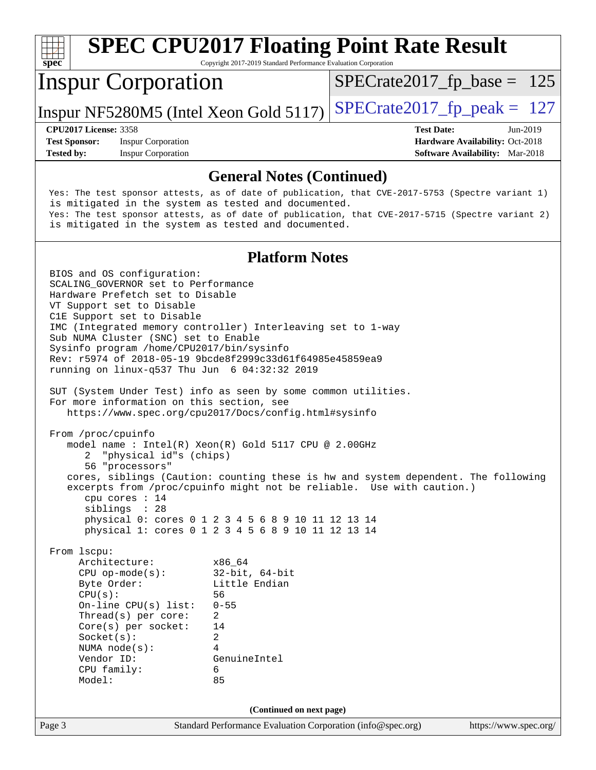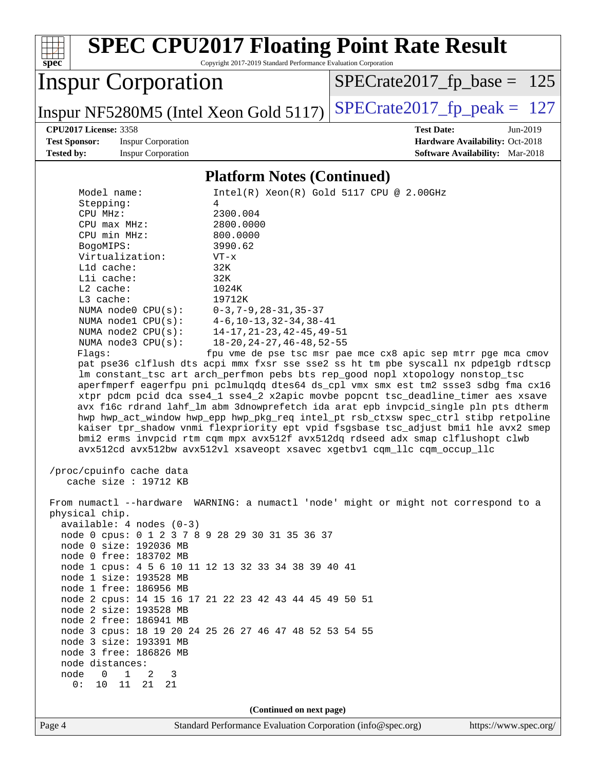| <b>SPEC CPU2017 Floating Point Rate Result</b><br>Copyright 2017-2019 Standard Performance Evaluation Corporation<br>spec <sup>®</sup>                                                                                                                                                                                                                                                                                                                                                                                                                                                                                                                                                                                                                                                                                                                                                                                                                                                                                                                                                                                                                                                                                                                                                                                                                               |  |  |  |  |  |  |  |
|----------------------------------------------------------------------------------------------------------------------------------------------------------------------------------------------------------------------------------------------------------------------------------------------------------------------------------------------------------------------------------------------------------------------------------------------------------------------------------------------------------------------------------------------------------------------------------------------------------------------------------------------------------------------------------------------------------------------------------------------------------------------------------------------------------------------------------------------------------------------------------------------------------------------------------------------------------------------------------------------------------------------------------------------------------------------------------------------------------------------------------------------------------------------------------------------------------------------------------------------------------------------------------------------------------------------------------------------------------------------|--|--|--|--|--|--|--|
| <b>Inspur Corporation</b><br>$SPECrate2017_fp\_base = 125$                                                                                                                                                                                                                                                                                                                                                                                                                                                                                                                                                                                                                                                                                                                                                                                                                                                                                                                                                                                                                                                                                                                                                                                                                                                                                                           |  |  |  |  |  |  |  |
| $SPECrate2017fp peak = 127$<br>Inspur NF5280M5 (Intel Xeon Gold 5117)                                                                                                                                                                                                                                                                                                                                                                                                                                                                                                                                                                                                                                                                                                                                                                                                                                                                                                                                                                                                                                                                                                                                                                                                                                                                                                |  |  |  |  |  |  |  |
| <b>Test Date:</b><br><b>CPU2017 License: 3358</b><br>Jun-2019                                                                                                                                                                                                                                                                                                                                                                                                                                                                                                                                                                                                                                                                                                                                                                                                                                                                                                                                                                                                                                                                                                                                                                                                                                                                                                        |  |  |  |  |  |  |  |
| <b>Test Sponsor:</b><br><b>Inspur Corporation</b><br>Hardware Availability: Oct-2018<br>Tested by:<br><b>Inspur Corporation</b><br>Software Availability: Mar-2018                                                                                                                                                                                                                                                                                                                                                                                                                                                                                                                                                                                                                                                                                                                                                                                                                                                                                                                                                                                                                                                                                                                                                                                                   |  |  |  |  |  |  |  |
| <b>Platform Notes (Continued)</b>                                                                                                                                                                                                                                                                                                                                                                                                                                                                                                                                                                                                                                                                                                                                                                                                                                                                                                                                                                                                                                                                                                                                                                                                                                                                                                                                    |  |  |  |  |  |  |  |
| Intel(R) Xeon(R) Gold 5117 CPU @ 2.00GHz<br>Model name:                                                                                                                                                                                                                                                                                                                                                                                                                                                                                                                                                                                                                                                                                                                                                                                                                                                                                                                                                                                                                                                                                                                                                                                                                                                                                                              |  |  |  |  |  |  |  |
| Stepping:<br>4<br>CPU MHz:<br>2300.004<br>CPU max MHz:<br>2800.0000<br>CPU min MHz:<br>800.0000<br>BogoMIPS:<br>3990.62<br>Virtualization:<br>$VT - x$<br>L1d cache:<br>32K<br>Lli cache:<br>32K<br>L2 cache:<br>1024K<br>L3 cache:<br>19712K<br>NUMA node0 CPU(s):<br>$0-3, 7-9, 28-31, 35-37$<br>NUMA nodel CPU(s):<br>$4-6$ , $10-13$ , $32-34$ , $38-41$<br>$14 - 17, 21 - 23, 42 - 45, 49 - 51$<br>NUMA node2 CPU(s):<br>$18 - 20$ , $24 - 27$ , $46 - 48$ , $52 - 55$<br>NUMA node3 CPU(s):<br>Flags:<br>fpu vme de pse tsc msr pae mce cx8 apic sep mtrr pge mca cmov<br>pat pse36 clflush dts acpi mmx fxsr sse sse2 ss ht tm pbe syscall nx pdpelgb rdtscp<br>lm constant_tsc art arch_perfmon pebs bts rep_good nopl xtopology nonstop_tsc<br>aperfmperf eagerfpu pni pclmulqdq dtes64 ds_cpl vmx smx est tm2 ssse3 sdbg fma cx16<br>xtpr pdcm pcid dca sse4_1 sse4_2 x2apic movbe popcnt tsc_deadline_timer aes xsave<br>avx f16c rdrand lahf_lm abm 3dnowprefetch ida arat epb invpcid_single pln pts dtherm<br>hwp hwp_act_window hwp_epp hwp_pkg_req intel_pt rsb_ctxsw spec_ctrl stibp retpoline<br>kaiser tpr_shadow vnmi flexpriority ept vpid fsgsbase tsc_adjust bmil hle avx2 smep<br>bmi2 erms invpcid rtm cqm mpx avx512f avx512dq rdseed adx smap clflushopt clwb<br>avx512cd avx512bw avx512vl xsaveopt xsavec xgetbv1 cqm_llc cqm_occup_llc |  |  |  |  |  |  |  |
| /proc/cpuinfo cache data<br>cache size : 19712 KB                                                                                                                                                                                                                                                                                                                                                                                                                                                                                                                                                                                                                                                                                                                                                                                                                                                                                                                                                                                                                                                                                                                                                                                                                                                                                                                    |  |  |  |  |  |  |  |
| From numactl --hardware WARNING: a numactl 'node' might or might not correspond to a<br>physical chip.<br>available: $4$ nodes $(0-3)$<br>node 0 cpus: 0 1 2 3 7 8 9 28 29 30 31 35 36 37<br>node 0 size: 192036 MB<br>node 0 free: 183702 MB<br>node 1 cpus: 4 5 6 10 11 12 13 32 33 34 38 39 40 41<br>node 1 size: 193528 MB<br>node 1 free: 186956 MB<br>node 2 cpus: 14 15 16 17 21 22 23 42 43 44 45 49 50 51<br>node 2 size: 193528 MB<br>node 2 free: 186941 MB<br>node 3 cpus: 18 19 20 24 25 26 27 46 47 48 52 53 54 55<br>node 3 size: 193391 MB<br>node 3 free: 186826 MB<br>node distances:<br>$\overline{0}$<br>$\mathbf{1}$<br>node<br>2<br>3<br>0 :<br>10 11 21 21                                                                                                                                                                                                                                                                                                                                                                                                                                                                                                                                                                                                                                                                                    |  |  |  |  |  |  |  |
| (Continued on next page)<br>Standard Performance Evaluation Corporation (info@spec.org)<br>Page 4<br>https://www.spec.org/                                                                                                                                                                                                                                                                                                                                                                                                                                                                                                                                                                                                                                                                                                                                                                                                                                                                                                                                                                                                                                                                                                                                                                                                                                           |  |  |  |  |  |  |  |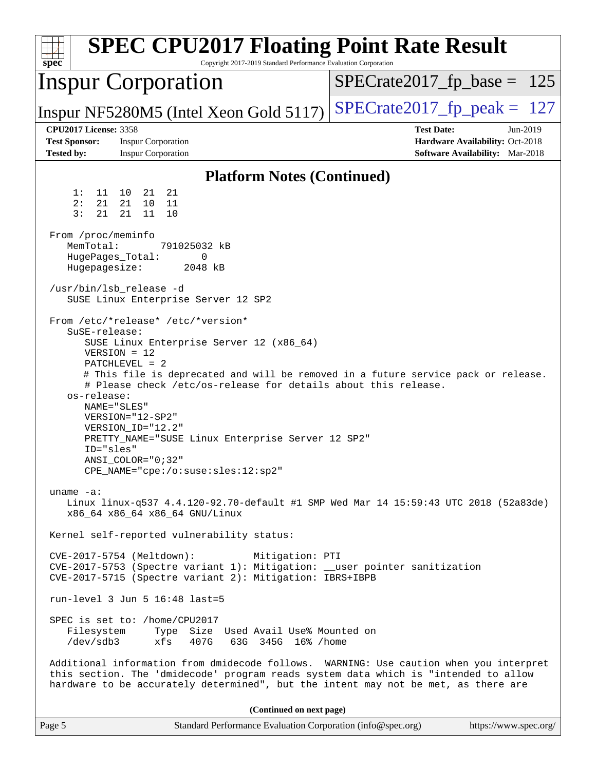| <b>SPEC CPU2017 Floating Point Rate Result</b><br>Copyright 2017-2019 Standard Performance Evaluation Corporation<br>spec                                                                                                                                                                                                                                                                                                                                                                                                                                                                                                                         |                                                                                                            |
|---------------------------------------------------------------------------------------------------------------------------------------------------------------------------------------------------------------------------------------------------------------------------------------------------------------------------------------------------------------------------------------------------------------------------------------------------------------------------------------------------------------------------------------------------------------------------------------------------------------------------------------------------|------------------------------------------------------------------------------------------------------------|
| <b>Inspur Corporation</b>                                                                                                                                                                                                                                                                                                                                                                                                                                                                                                                                                                                                                         | $SPECrate2017_fp\_base = 125$                                                                              |
| Inspur NF5280M5 (Intel Xeon Gold 5117)                                                                                                                                                                                                                                                                                                                                                                                                                                                                                                                                                                                                            | $SPECrate2017_fp\_peak = 127$                                                                              |
| <b>CPU2017 License: 3358</b><br><b>Test Sponsor:</b><br><b>Inspur Corporation</b><br><b>Tested by:</b><br><b>Inspur Corporation</b>                                                                                                                                                                                                                                                                                                                                                                                                                                                                                                               | <b>Test Date:</b><br>Jun-2019<br>Hardware Availability: Oct-2018<br><b>Software Availability:</b> Mar-2018 |
| <b>Platform Notes (Continued)</b>                                                                                                                                                                                                                                                                                                                                                                                                                                                                                                                                                                                                                 |                                                                                                            |
| 21<br>1:<br>11 10<br>21<br>2:<br>21<br>21 10<br>11<br>3:<br>21<br>21<br>11<br>10                                                                                                                                                                                                                                                                                                                                                                                                                                                                                                                                                                  |                                                                                                            |
| From /proc/meminfo<br>MemTotal:<br>791025032 kB<br>HugePages_Total:<br>0<br>Hugepagesize:<br>2048 kB                                                                                                                                                                                                                                                                                                                                                                                                                                                                                                                                              |                                                                                                            |
| /usr/bin/lsb_release -d<br>SUSE Linux Enterprise Server 12 SP2                                                                                                                                                                                                                                                                                                                                                                                                                                                                                                                                                                                    |                                                                                                            |
| From /etc/*release* /etc/*version*<br>SuSE-release:<br>SUSE Linux Enterprise Server 12 (x86_64)<br>$VERSION = 12$<br>$PATCHLEVEL = 2$<br># This file is deprecated and will be removed in a future service pack or release.<br># Please check /etc/os-release for details about this release.<br>os-release:<br>NAME="SLES"<br>VERSION="12-SP2"<br>VERSION ID="12.2"<br>PRETTY_NAME="SUSE Linux Enterprise Server 12 SP2"<br>ID="sles"<br>$ANSI\_COLOR = "0; 32"$<br>CPE_NAME="cpe:/o:suse:sles:12:sp2"<br>uname $-a$ :<br>Linux linux-q537 4.4.120-92.70-default #1 SMP Wed Mar 14 15:59:43 UTC 2018 (52a83de)<br>x86 64 x86 64 x86 64 GNU/Linux |                                                                                                            |
| Kernel self-reported vulnerability status:                                                                                                                                                                                                                                                                                                                                                                                                                                                                                                                                                                                                        |                                                                                                            |
| CVE-2017-5754 (Meltdown):<br>Mitigation: PTI<br>CVE-2017-5753 (Spectre variant 1): Mitigation: __user pointer sanitization<br>CVE-2017-5715 (Spectre variant 2): Mitigation: IBRS+IBPB                                                                                                                                                                                                                                                                                                                                                                                                                                                            |                                                                                                            |
| run-level $3$ Jun $5$ 16:48 last=5                                                                                                                                                                                                                                                                                                                                                                                                                                                                                                                                                                                                                |                                                                                                            |
| SPEC is set to: /home/CPU2017<br>Filesystem<br>Type Size Used Avail Use% Mounted on<br>/dev/sdb3<br>xfs<br>407G<br>63G 345G 16% / home                                                                                                                                                                                                                                                                                                                                                                                                                                                                                                            |                                                                                                            |
| Additional information from dmidecode follows. WARNING: Use caution when you interpret<br>this section. The 'dmidecode' program reads system data which is "intended to allow<br>hardware to be accurately determined", but the intent may not be met, as there are                                                                                                                                                                                                                                                                                                                                                                               |                                                                                                            |
| (Continued on next page)                                                                                                                                                                                                                                                                                                                                                                                                                                                                                                                                                                                                                          |                                                                                                            |
| Standard Performance Evaluation Corporation (info@spec.org)<br>Page 5                                                                                                                                                                                                                                                                                                                                                                                                                                                                                                                                                                             | https://www.spec.org/                                                                                      |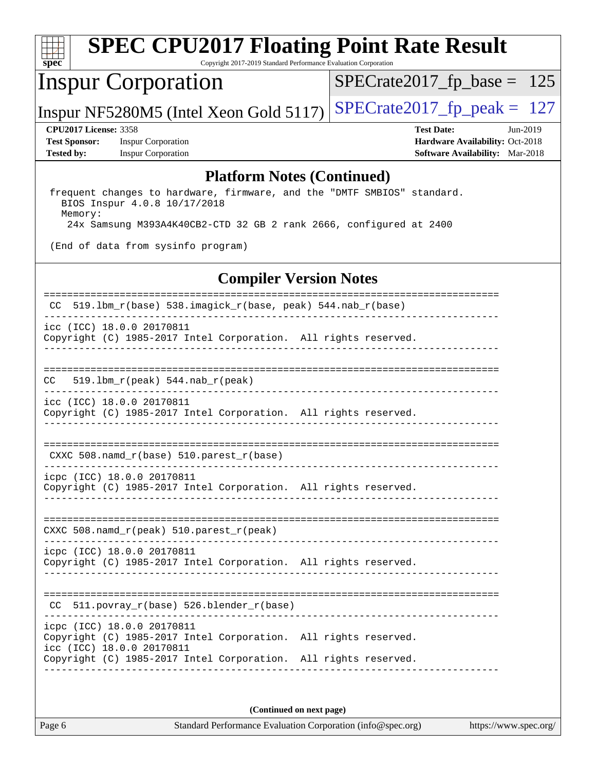

# **[SPEC CPU2017 Floating Point Rate Result](http://www.spec.org/auto/cpu2017/Docs/result-fields.html#SPECCPU2017FloatingPointRateResult)**

Copyright 2017-2019 Standard Performance Evaluation Corporation

## Inspur Corporation

[SPECrate2017\\_fp\\_base =](http://www.spec.org/auto/cpu2017/Docs/result-fields.html#SPECrate2017fpbase) 125

Inspur NF5280M5 (Intel Xeon Gold 5117)  $SPECrate2017_fp\_peak = 127$ 

**[Test Sponsor:](http://www.spec.org/auto/cpu2017/Docs/result-fields.html#TestSponsor)** Inspur Corporation **[Hardware Availability:](http://www.spec.org/auto/cpu2017/Docs/result-fields.html#HardwareAvailability)** Oct-2018 **[Tested by:](http://www.spec.org/auto/cpu2017/Docs/result-fields.html#Testedby)** Inspur Corporation **[Software Availability:](http://www.spec.org/auto/cpu2017/Docs/result-fields.html#SoftwareAvailability)** Mar-2018

**[CPU2017 License:](http://www.spec.org/auto/cpu2017/Docs/result-fields.html#CPU2017License)** 3358 **[Test Date:](http://www.spec.org/auto/cpu2017/Docs/result-fields.html#TestDate)** Jun-2019

#### **[Platform Notes \(Continued\)](http://www.spec.org/auto/cpu2017/Docs/result-fields.html#PlatformNotes)**

 frequent changes to hardware, firmware, and the "DMTF SMBIOS" standard. BIOS Inspur 4.0.8 10/17/2018 Memory: 24x Samsung M393A4K40CB2-CTD 32 GB 2 rank 2666, configured at 2400

(End of data from sysinfo program)

#### **[Compiler Version Notes](http://www.spec.org/auto/cpu2017/Docs/result-fields.html#CompilerVersionNotes)**

| 519.1bm_r(base) 538.imagick_r(base, peak) 544.nab_r(base)<br>CC.                                                                                                                              |
|-----------------------------------------------------------------------------------------------------------------------------------------------------------------------------------------------|
| icc (ICC) 18.0.0 20170811<br>Copyright (C) 1985-2017 Intel Corporation. All rights reserved.                                                                                                  |
| ------------<br>$519.1bm_r(peak) 544.nab_r(peak)$<br>CC.                                                                                                                                      |
| icc (ICC) 18.0.0 20170811<br>Copyright (C) 1985-2017 Intel Corporation. All rights reserved.                                                                                                  |
| CXXC 508. namd $r(base)$ 510. parest $r(base)$                                                                                                                                                |
| icpc (ICC) 18.0.0 20170811<br>Copyright (C) 1985-2017 Intel Corporation. All rights reserved.                                                                                                 |
| CXXC 508.namd_r(peak) 510.parest_r(peak)                                                                                                                                                      |
| icpc (ICC) 18.0.0 20170811<br>Copyright (C) 1985-2017 Intel Corporation. All rights reserved.                                                                                                 |
| 511.povray_r(base) 526.blender_r(base)<br>CC.                                                                                                                                                 |
| icpc (ICC) 18.0.0 20170811<br>Copyright (C) 1985-2017 Intel Corporation. All rights reserved.<br>icc (ICC) 18.0.0 20170811<br>Copyright (C) 1985-2017 Intel Corporation. All rights reserved. |
|                                                                                                                                                                                               |

**(Continued on next page)**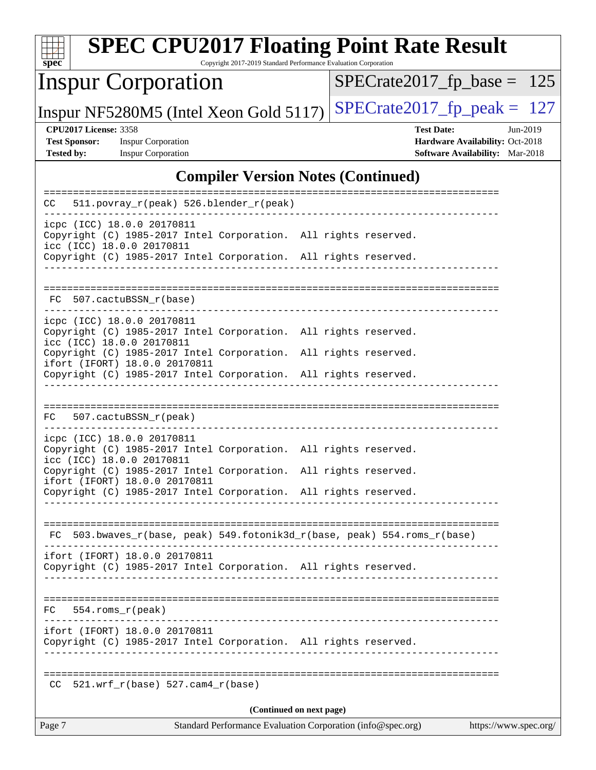| <b>SPEC CPU2017 Floating Point Rate Result</b><br>$spec^*$                                                                                                                                                                                                                                        | Copyright 2017-2019 Standard Performance Evaluation Corporation                         |  |                                                                                         |                       |  |
|---------------------------------------------------------------------------------------------------------------------------------------------------------------------------------------------------------------------------------------------------------------------------------------------------|-----------------------------------------------------------------------------------------|--|-----------------------------------------------------------------------------------------|-----------------------|--|
| <b>Inspur Corporation</b>                                                                                                                                                                                                                                                                         |                                                                                         |  | $SPECrate2017_fp\_base = 125$                                                           |                       |  |
| Inspur NF5280M5 (Intel Xeon Gold 5117)                                                                                                                                                                                                                                                            |                                                                                         |  | $SPECTate2017$ _fp_peak = 127                                                           |                       |  |
| <b>CPU2017 License: 3358</b><br><b>Test Sponsor:</b><br><b>Inspur Corporation</b><br><b>Inspur Corporation</b><br><b>Tested by:</b>                                                                                                                                                               |                                                                                         |  | <b>Test Date:</b><br>Hardware Availability: Oct-2018<br>Software Availability: Mar-2018 | Jun-2019              |  |
|                                                                                                                                                                                                                                                                                                   | <b>Compiler Version Notes (Continued)</b>                                               |  |                                                                                         |                       |  |
| 511.povray_r(peak) 526.blender_r(peak)<br>CC                                                                                                                                                                                                                                                      |                                                                                         |  |                                                                                         |                       |  |
| icpc (ICC) 18.0.0 20170811<br>Copyright (C) 1985-2017 Intel Corporation. All rights reserved.<br>icc (ICC) 18.0.0 20170811<br>Copyright (C) 1985-2017 Intel Corporation. All rights reserved.                                                                                                     |                                                                                         |  |                                                                                         |                       |  |
| FC 507.cactuBSSN_r(base)                                                                                                                                                                                                                                                                          |                                                                                         |  |                                                                                         |                       |  |
| icpc (ICC) 18.0.0 20170811<br>Copyright (C) 1985-2017 Intel Corporation. All rights reserved.<br>icc (ICC) 18.0.0 20170811<br>Copyright (C) 1985-2017 Intel Corporation. All rights reserved.<br>ifort (IFORT) 18.0.0 20170811<br>Copyright (C) 1985-2017 Intel Corporation. All rights reserved. |                                                                                         |  |                                                                                         |                       |  |
| FC 507.cactuBSSN_r(peak)                                                                                                                                                                                                                                                                          |                                                                                         |  |                                                                                         |                       |  |
| icpc (ICC) 18.0.0 20170811<br>Copyright (C) 1985-2017 Intel Corporation. All rights reserved.<br>icc (ICC) 18.0.0 20170811<br>Copyright (C) 1985-2017 Intel Corporation. All rights reserved.<br>ifort (IFORT) 18.0.0 20170811<br>Copyright (C) 1985-2017 Intel Corporation. All rights reserved. |                                                                                         |  |                                                                                         |                       |  |
| FC 503.bwaves_r(base, peak) 549.fotonik3d_r(base, peak) 554.roms_r(base)                                                                                                                                                                                                                          |                                                                                         |  |                                                                                         |                       |  |
| ifort (IFORT) 18.0.0 20170811<br>Copyright (C) 1985-2017 Intel Corporation. All rights reserved.                                                                                                                                                                                                  |                                                                                         |  |                                                                                         |                       |  |
| 554.roms r(peak)<br>FC.                                                                                                                                                                                                                                                                           |                                                                                         |  |                                                                                         |                       |  |
| ifort (IFORT) 18.0.0 20170811<br>Copyright (C) 1985-2017 Intel Corporation. All rights reserved.                                                                                                                                                                                                  |                                                                                         |  |                                                                                         |                       |  |
| $CC$ 521.wrf_r(base) 527.cam4_r(base)                                                                                                                                                                                                                                                             |                                                                                         |  |                                                                                         |                       |  |
| Page 7                                                                                                                                                                                                                                                                                            | (Continued on next page)<br>Standard Performance Evaluation Corporation (info@spec.org) |  |                                                                                         | https://www.spec.org/ |  |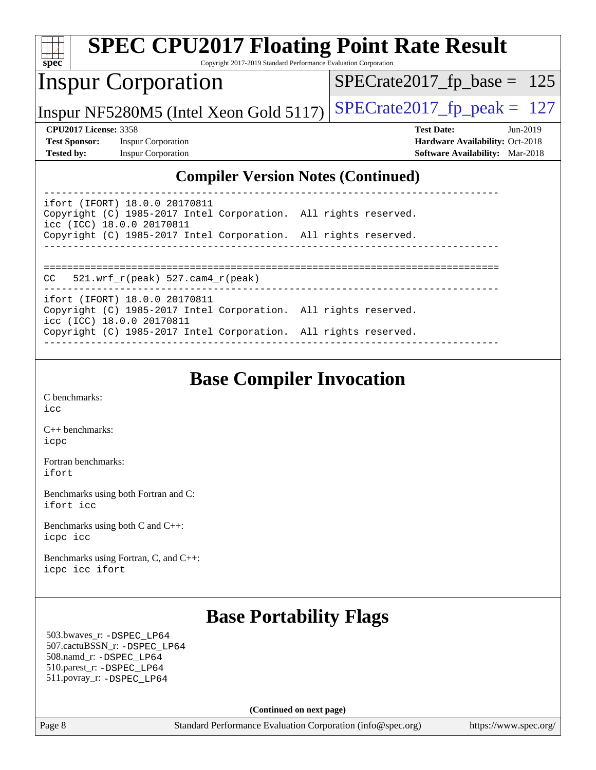| <b>SPEC CPU2017 Floating Point Rate Result</b>                                                                                                                                                                                                |                                        |
|-----------------------------------------------------------------------------------------------------------------------------------------------------------------------------------------------------------------------------------------------|----------------------------------------|
| spec <sup>®</sup><br>Copyright 2017-2019 Standard Performance Evaluation Corporation                                                                                                                                                          |                                        |
| <b>Inspur Corporation</b>                                                                                                                                                                                                                     | $SPECTate2017$ _fp_base = 125          |
| Inspur NF5280M5 (Intel Xeon Gold 5117)                                                                                                                                                                                                        | $SPECTate2017$ _fp_peak = 127          |
| <b>CPU2017 License: 3358</b>                                                                                                                                                                                                                  | <b>Test Date:</b><br>$Jun-2019$        |
| <b>Test Sponsor:</b><br><b>Inspur Corporation</b>                                                                                                                                                                                             | Hardware Availability: Oct-2018        |
| <b>Tested by:</b><br><b>Inspur Corporation</b>                                                                                                                                                                                                | <b>Software Availability:</b> Mar-2018 |
| <b>Compiler Version Notes (Continued)</b>                                                                                                                                                                                                     |                                        |
| ifort (IFORT) 18.0.0 20170811<br>Copyright (C) 1985-2017 Intel Corporation. All rights reserved.<br>icc (ICC) 18.0.0 20170811                                                                                                                 |                                        |
| Copyright (C) 1985-2017 Intel Corporation. All rights reserved.                                                                                                                                                                               |                                        |
| $521.wrf_r(peak) 527.cam4_r(peak)$<br>CC.<br>ifort (IFORT) 18.0.0 20170811<br>Copyright (C) 1985-2017 Intel Corporation. All rights reserved.<br>icc (ICC) 18.0.0 20170811<br>Copyright (C) 1985-2017 Intel Corporation. All rights reserved. |                                        |

### **[Base Compiler Invocation](http://www.spec.org/auto/cpu2017/Docs/result-fields.html#BaseCompilerInvocation)**

[C benchmarks](http://www.spec.org/auto/cpu2017/Docs/result-fields.html#Cbenchmarks): [icc](http://www.spec.org/cpu2017/results/res2019q3/cpu2017-20190619-15355.flags.html#user_CCbase_intel_icc_18.0_66fc1ee009f7361af1fbd72ca7dcefbb700085f36577c54f309893dd4ec40d12360134090235512931783d35fd58c0460139e722d5067c5574d8eaf2b3e37e92)

[C++ benchmarks:](http://www.spec.org/auto/cpu2017/Docs/result-fields.html#CXXbenchmarks) [icpc](http://www.spec.org/cpu2017/results/res2019q3/cpu2017-20190619-15355.flags.html#user_CXXbase_intel_icpc_18.0_c510b6838c7f56d33e37e94d029a35b4a7bccf4766a728ee175e80a419847e808290a9b78be685c44ab727ea267ec2f070ec5dc83b407c0218cded6866a35d07)

[Fortran benchmarks](http://www.spec.org/auto/cpu2017/Docs/result-fields.html#Fortranbenchmarks): [ifort](http://www.spec.org/cpu2017/results/res2019q3/cpu2017-20190619-15355.flags.html#user_FCbase_intel_ifort_18.0_8111460550e3ca792625aed983ce982f94888b8b503583aa7ba2b8303487b4d8a21a13e7191a45c5fd58ff318f48f9492884d4413fa793fd88dd292cad7027ca)

[Benchmarks using both Fortran and C](http://www.spec.org/auto/cpu2017/Docs/result-fields.html#BenchmarksusingbothFortranandC): [ifort](http://www.spec.org/cpu2017/results/res2019q3/cpu2017-20190619-15355.flags.html#user_CC_FCbase_intel_ifort_18.0_8111460550e3ca792625aed983ce982f94888b8b503583aa7ba2b8303487b4d8a21a13e7191a45c5fd58ff318f48f9492884d4413fa793fd88dd292cad7027ca) [icc](http://www.spec.org/cpu2017/results/res2019q3/cpu2017-20190619-15355.flags.html#user_CC_FCbase_intel_icc_18.0_66fc1ee009f7361af1fbd72ca7dcefbb700085f36577c54f309893dd4ec40d12360134090235512931783d35fd58c0460139e722d5067c5574d8eaf2b3e37e92)

[Benchmarks using both C and C++](http://www.spec.org/auto/cpu2017/Docs/result-fields.html#BenchmarksusingbothCandCXX): [icpc](http://www.spec.org/cpu2017/results/res2019q3/cpu2017-20190619-15355.flags.html#user_CC_CXXbase_intel_icpc_18.0_c510b6838c7f56d33e37e94d029a35b4a7bccf4766a728ee175e80a419847e808290a9b78be685c44ab727ea267ec2f070ec5dc83b407c0218cded6866a35d07) [icc](http://www.spec.org/cpu2017/results/res2019q3/cpu2017-20190619-15355.flags.html#user_CC_CXXbase_intel_icc_18.0_66fc1ee009f7361af1fbd72ca7dcefbb700085f36577c54f309893dd4ec40d12360134090235512931783d35fd58c0460139e722d5067c5574d8eaf2b3e37e92)

[Benchmarks using Fortran, C, and C++:](http://www.spec.org/auto/cpu2017/Docs/result-fields.html#BenchmarksusingFortranCandCXX) [icpc](http://www.spec.org/cpu2017/results/res2019q3/cpu2017-20190619-15355.flags.html#user_CC_CXX_FCbase_intel_icpc_18.0_c510b6838c7f56d33e37e94d029a35b4a7bccf4766a728ee175e80a419847e808290a9b78be685c44ab727ea267ec2f070ec5dc83b407c0218cded6866a35d07) [icc](http://www.spec.org/cpu2017/results/res2019q3/cpu2017-20190619-15355.flags.html#user_CC_CXX_FCbase_intel_icc_18.0_66fc1ee009f7361af1fbd72ca7dcefbb700085f36577c54f309893dd4ec40d12360134090235512931783d35fd58c0460139e722d5067c5574d8eaf2b3e37e92) [ifort](http://www.spec.org/cpu2017/results/res2019q3/cpu2017-20190619-15355.flags.html#user_CC_CXX_FCbase_intel_ifort_18.0_8111460550e3ca792625aed983ce982f94888b8b503583aa7ba2b8303487b4d8a21a13e7191a45c5fd58ff318f48f9492884d4413fa793fd88dd292cad7027ca)

## **[Base Portability Flags](http://www.spec.org/auto/cpu2017/Docs/result-fields.html#BasePortabilityFlags)**

 503.bwaves\_r: [-DSPEC\\_LP64](http://www.spec.org/cpu2017/results/res2019q3/cpu2017-20190619-15355.flags.html#suite_basePORTABILITY503_bwaves_r_DSPEC_LP64) 507.cactuBSSN\_r: [-DSPEC\\_LP64](http://www.spec.org/cpu2017/results/res2019q3/cpu2017-20190619-15355.flags.html#suite_basePORTABILITY507_cactuBSSN_r_DSPEC_LP64) 508.namd\_r: [-DSPEC\\_LP64](http://www.spec.org/cpu2017/results/res2019q3/cpu2017-20190619-15355.flags.html#suite_basePORTABILITY508_namd_r_DSPEC_LP64) 510.parest\_r: [-DSPEC\\_LP64](http://www.spec.org/cpu2017/results/res2019q3/cpu2017-20190619-15355.flags.html#suite_basePORTABILITY510_parest_r_DSPEC_LP64) 511.povray\_r: [-DSPEC\\_LP64](http://www.spec.org/cpu2017/results/res2019q3/cpu2017-20190619-15355.flags.html#suite_basePORTABILITY511_povray_r_DSPEC_LP64)

**(Continued on next page)**

Page 8 Standard Performance Evaluation Corporation [\(info@spec.org\)](mailto:info@spec.org) <https://www.spec.org/>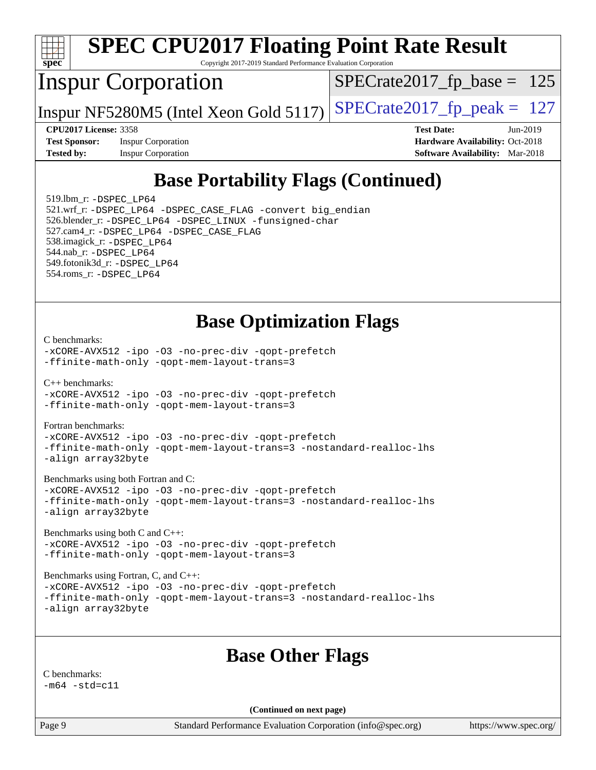

# **[SPEC CPU2017 Floating Point Rate Result](http://www.spec.org/auto/cpu2017/Docs/result-fields.html#SPECCPU2017FloatingPointRateResult)**

Copyright 2017-2019 Standard Performance Evaluation Corporation

## Inspur Corporation

[SPECrate2017\\_fp\\_base =](http://www.spec.org/auto/cpu2017/Docs/result-fields.html#SPECrate2017fpbase) 125

Inspur NF5280M5 (Intel Xeon Gold 5117)  $SPECrate2017_fp\_peak = 127$ 

**[Test Sponsor:](http://www.spec.org/auto/cpu2017/Docs/result-fields.html#TestSponsor)** Inspur Corporation **[Hardware Availability:](http://www.spec.org/auto/cpu2017/Docs/result-fields.html#HardwareAvailability)** Oct-2018

**[CPU2017 License:](http://www.spec.org/auto/cpu2017/Docs/result-fields.html#CPU2017License)** 3358 **[Test Date:](http://www.spec.org/auto/cpu2017/Docs/result-fields.html#TestDate)** Jun-2019 **[Tested by:](http://www.spec.org/auto/cpu2017/Docs/result-fields.html#Testedby)** Inspur Corporation **[Software Availability:](http://www.spec.org/auto/cpu2017/Docs/result-fields.html#SoftwareAvailability)** Mar-2018

## **[Base Portability Flags \(Continued\)](http://www.spec.org/auto/cpu2017/Docs/result-fields.html#BasePortabilityFlags)**

 519.lbm\_r: [-DSPEC\\_LP64](http://www.spec.org/cpu2017/results/res2019q3/cpu2017-20190619-15355.flags.html#suite_basePORTABILITY519_lbm_r_DSPEC_LP64) 521.wrf\_r: [-DSPEC\\_LP64](http://www.spec.org/cpu2017/results/res2019q3/cpu2017-20190619-15355.flags.html#suite_basePORTABILITY521_wrf_r_DSPEC_LP64) [-DSPEC\\_CASE\\_FLAG](http://www.spec.org/cpu2017/results/res2019q3/cpu2017-20190619-15355.flags.html#b521.wrf_r_baseCPORTABILITY_DSPEC_CASE_FLAG) [-convert big\\_endian](http://www.spec.org/cpu2017/results/res2019q3/cpu2017-20190619-15355.flags.html#user_baseFPORTABILITY521_wrf_r_convert_big_endian_c3194028bc08c63ac5d04de18c48ce6d347e4e562e8892b8bdbdc0214820426deb8554edfa529a3fb25a586e65a3d812c835984020483e7e73212c4d31a38223) 526.blender\_r: [-DSPEC\\_LP64](http://www.spec.org/cpu2017/results/res2019q3/cpu2017-20190619-15355.flags.html#suite_basePORTABILITY526_blender_r_DSPEC_LP64) [-DSPEC\\_LINUX](http://www.spec.org/cpu2017/results/res2019q3/cpu2017-20190619-15355.flags.html#b526.blender_r_baseCPORTABILITY_DSPEC_LINUX) [-funsigned-char](http://www.spec.org/cpu2017/results/res2019q3/cpu2017-20190619-15355.flags.html#user_baseCPORTABILITY526_blender_r_force_uchar_40c60f00ab013830e2dd6774aeded3ff59883ba5a1fc5fc14077f794d777847726e2a5858cbc7672e36e1b067e7e5c1d9a74f7176df07886a243d7cc18edfe67) 527.cam4\_r: [-DSPEC\\_LP64](http://www.spec.org/cpu2017/results/res2019q3/cpu2017-20190619-15355.flags.html#suite_basePORTABILITY527_cam4_r_DSPEC_LP64) [-DSPEC\\_CASE\\_FLAG](http://www.spec.org/cpu2017/results/res2019q3/cpu2017-20190619-15355.flags.html#b527.cam4_r_baseCPORTABILITY_DSPEC_CASE_FLAG) 538.imagick\_r: [-DSPEC\\_LP64](http://www.spec.org/cpu2017/results/res2019q3/cpu2017-20190619-15355.flags.html#suite_basePORTABILITY538_imagick_r_DSPEC_LP64) 544.nab\_r: [-DSPEC\\_LP64](http://www.spec.org/cpu2017/results/res2019q3/cpu2017-20190619-15355.flags.html#suite_basePORTABILITY544_nab_r_DSPEC_LP64) 549.fotonik3d\_r: [-DSPEC\\_LP64](http://www.spec.org/cpu2017/results/res2019q3/cpu2017-20190619-15355.flags.html#suite_basePORTABILITY549_fotonik3d_r_DSPEC_LP64) 554.roms\_r: [-DSPEC\\_LP64](http://www.spec.org/cpu2017/results/res2019q3/cpu2017-20190619-15355.flags.html#suite_basePORTABILITY554_roms_r_DSPEC_LP64)

#### **[Base Optimization Flags](http://www.spec.org/auto/cpu2017/Docs/result-fields.html#BaseOptimizationFlags)**

#### [C benchmarks](http://www.spec.org/auto/cpu2017/Docs/result-fields.html#Cbenchmarks):

[-xCORE-AVX512](http://www.spec.org/cpu2017/results/res2019q3/cpu2017-20190619-15355.flags.html#user_CCbase_f-xCORE-AVX512) [-ipo](http://www.spec.org/cpu2017/results/res2019q3/cpu2017-20190619-15355.flags.html#user_CCbase_f-ipo) [-O3](http://www.spec.org/cpu2017/results/res2019q3/cpu2017-20190619-15355.flags.html#user_CCbase_f-O3) [-no-prec-div](http://www.spec.org/cpu2017/results/res2019q3/cpu2017-20190619-15355.flags.html#user_CCbase_f-no-prec-div) [-qopt-prefetch](http://www.spec.org/cpu2017/results/res2019q3/cpu2017-20190619-15355.flags.html#user_CCbase_f-qopt-prefetch) [-ffinite-math-only](http://www.spec.org/cpu2017/results/res2019q3/cpu2017-20190619-15355.flags.html#user_CCbase_f_finite_math_only_cb91587bd2077682c4b38af759c288ed7c732db004271a9512da14a4f8007909a5f1427ecbf1a0fb78ff2a814402c6114ac565ca162485bbcae155b5e4258871) [-qopt-mem-layout-trans=3](http://www.spec.org/cpu2017/results/res2019q3/cpu2017-20190619-15355.flags.html#user_CCbase_f-qopt-mem-layout-trans_de80db37974c74b1f0e20d883f0b675c88c3b01e9d123adea9b28688d64333345fb62bc4a798493513fdb68f60282f9a726aa07f478b2f7113531aecce732043)

[C++ benchmarks:](http://www.spec.org/auto/cpu2017/Docs/result-fields.html#CXXbenchmarks)

[-xCORE-AVX512](http://www.spec.org/cpu2017/results/res2019q3/cpu2017-20190619-15355.flags.html#user_CXXbase_f-xCORE-AVX512) [-ipo](http://www.spec.org/cpu2017/results/res2019q3/cpu2017-20190619-15355.flags.html#user_CXXbase_f-ipo) [-O3](http://www.spec.org/cpu2017/results/res2019q3/cpu2017-20190619-15355.flags.html#user_CXXbase_f-O3) [-no-prec-div](http://www.spec.org/cpu2017/results/res2019q3/cpu2017-20190619-15355.flags.html#user_CXXbase_f-no-prec-div) [-qopt-prefetch](http://www.spec.org/cpu2017/results/res2019q3/cpu2017-20190619-15355.flags.html#user_CXXbase_f-qopt-prefetch) [-ffinite-math-only](http://www.spec.org/cpu2017/results/res2019q3/cpu2017-20190619-15355.flags.html#user_CXXbase_f_finite_math_only_cb91587bd2077682c4b38af759c288ed7c732db004271a9512da14a4f8007909a5f1427ecbf1a0fb78ff2a814402c6114ac565ca162485bbcae155b5e4258871) [-qopt-mem-layout-trans=3](http://www.spec.org/cpu2017/results/res2019q3/cpu2017-20190619-15355.flags.html#user_CXXbase_f-qopt-mem-layout-trans_de80db37974c74b1f0e20d883f0b675c88c3b01e9d123adea9b28688d64333345fb62bc4a798493513fdb68f60282f9a726aa07f478b2f7113531aecce732043)

[Fortran benchmarks](http://www.spec.org/auto/cpu2017/Docs/result-fields.html#Fortranbenchmarks):

[-xCORE-AVX512](http://www.spec.org/cpu2017/results/res2019q3/cpu2017-20190619-15355.flags.html#user_FCbase_f-xCORE-AVX512) [-ipo](http://www.spec.org/cpu2017/results/res2019q3/cpu2017-20190619-15355.flags.html#user_FCbase_f-ipo) [-O3](http://www.spec.org/cpu2017/results/res2019q3/cpu2017-20190619-15355.flags.html#user_FCbase_f-O3) [-no-prec-div](http://www.spec.org/cpu2017/results/res2019q3/cpu2017-20190619-15355.flags.html#user_FCbase_f-no-prec-div) [-qopt-prefetch](http://www.spec.org/cpu2017/results/res2019q3/cpu2017-20190619-15355.flags.html#user_FCbase_f-qopt-prefetch) [-ffinite-math-only](http://www.spec.org/cpu2017/results/res2019q3/cpu2017-20190619-15355.flags.html#user_FCbase_f_finite_math_only_cb91587bd2077682c4b38af759c288ed7c732db004271a9512da14a4f8007909a5f1427ecbf1a0fb78ff2a814402c6114ac565ca162485bbcae155b5e4258871) [-qopt-mem-layout-trans=3](http://www.spec.org/cpu2017/results/res2019q3/cpu2017-20190619-15355.flags.html#user_FCbase_f-qopt-mem-layout-trans_de80db37974c74b1f0e20d883f0b675c88c3b01e9d123adea9b28688d64333345fb62bc4a798493513fdb68f60282f9a726aa07f478b2f7113531aecce732043) [-nostandard-realloc-lhs](http://www.spec.org/cpu2017/results/res2019q3/cpu2017-20190619-15355.flags.html#user_FCbase_f_2003_std_realloc_82b4557e90729c0f113870c07e44d33d6f5a304b4f63d4c15d2d0f1fab99f5daaed73bdb9275d9ae411527f28b936061aa8b9c8f2d63842963b95c9dd6426b8a) [-align array32byte](http://www.spec.org/cpu2017/results/res2019q3/cpu2017-20190619-15355.flags.html#user_FCbase_align_array32byte_b982fe038af199962ba9a80c053b8342c548c85b40b8e86eb3cc33dee0d7986a4af373ac2d51c3f7cf710a18d62fdce2948f201cd044323541f22fc0fffc51b6)

[Benchmarks using both Fortran and C](http://www.spec.org/auto/cpu2017/Docs/result-fields.html#BenchmarksusingbothFortranandC):

[-xCORE-AVX512](http://www.spec.org/cpu2017/results/res2019q3/cpu2017-20190619-15355.flags.html#user_CC_FCbase_f-xCORE-AVX512) [-ipo](http://www.spec.org/cpu2017/results/res2019q3/cpu2017-20190619-15355.flags.html#user_CC_FCbase_f-ipo) [-O3](http://www.spec.org/cpu2017/results/res2019q3/cpu2017-20190619-15355.flags.html#user_CC_FCbase_f-O3) [-no-prec-div](http://www.spec.org/cpu2017/results/res2019q3/cpu2017-20190619-15355.flags.html#user_CC_FCbase_f-no-prec-div) [-qopt-prefetch](http://www.spec.org/cpu2017/results/res2019q3/cpu2017-20190619-15355.flags.html#user_CC_FCbase_f-qopt-prefetch) [-ffinite-math-only](http://www.spec.org/cpu2017/results/res2019q3/cpu2017-20190619-15355.flags.html#user_CC_FCbase_f_finite_math_only_cb91587bd2077682c4b38af759c288ed7c732db004271a9512da14a4f8007909a5f1427ecbf1a0fb78ff2a814402c6114ac565ca162485bbcae155b5e4258871) [-qopt-mem-layout-trans=3](http://www.spec.org/cpu2017/results/res2019q3/cpu2017-20190619-15355.flags.html#user_CC_FCbase_f-qopt-mem-layout-trans_de80db37974c74b1f0e20d883f0b675c88c3b01e9d123adea9b28688d64333345fb62bc4a798493513fdb68f60282f9a726aa07f478b2f7113531aecce732043) [-nostandard-realloc-lhs](http://www.spec.org/cpu2017/results/res2019q3/cpu2017-20190619-15355.flags.html#user_CC_FCbase_f_2003_std_realloc_82b4557e90729c0f113870c07e44d33d6f5a304b4f63d4c15d2d0f1fab99f5daaed73bdb9275d9ae411527f28b936061aa8b9c8f2d63842963b95c9dd6426b8a) [-align array32byte](http://www.spec.org/cpu2017/results/res2019q3/cpu2017-20190619-15355.flags.html#user_CC_FCbase_align_array32byte_b982fe038af199962ba9a80c053b8342c548c85b40b8e86eb3cc33dee0d7986a4af373ac2d51c3f7cf710a18d62fdce2948f201cd044323541f22fc0fffc51b6)

[Benchmarks using both C and C++](http://www.spec.org/auto/cpu2017/Docs/result-fields.html#BenchmarksusingbothCandCXX): [-xCORE-AVX512](http://www.spec.org/cpu2017/results/res2019q3/cpu2017-20190619-15355.flags.html#user_CC_CXXbase_f-xCORE-AVX512) [-ipo](http://www.spec.org/cpu2017/results/res2019q3/cpu2017-20190619-15355.flags.html#user_CC_CXXbase_f-ipo) [-O3](http://www.spec.org/cpu2017/results/res2019q3/cpu2017-20190619-15355.flags.html#user_CC_CXXbase_f-O3) [-no-prec-div](http://www.spec.org/cpu2017/results/res2019q3/cpu2017-20190619-15355.flags.html#user_CC_CXXbase_f-no-prec-div) [-qopt-prefetch](http://www.spec.org/cpu2017/results/res2019q3/cpu2017-20190619-15355.flags.html#user_CC_CXXbase_f-qopt-prefetch) [-ffinite-math-only](http://www.spec.org/cpu2017/results/res2019q3/cpu2017-20190619-15355.flags.html#user_CC_CXXbase_f_finite_math_only_cb91587bd2077682c4b38af759c288ed7c732db004271a9512da14a4f8007909a5f1427ecbf1a0fb78ff2a814402c6114ac565ca162485bbcae155b5e4258871) [-qopt-mem-layout-trans=3](http://www.spec.org/cpu2017/results/res2019q3/cpu2017-20190619-15355.flags.html#user_CC_CXXbase_f-qopt-mem-layout-trans_de80db37974c74b1f0e20d883f0b675c88c3b01e9d123adea9b28688d64333345fb62bc4a798493513fdb68f60282f9a726aa07f478b2f7113531aecce732043)

[Benchmarks using Fortran, C, and C++:](http://www.spec.org/auto/cpu2017/Docs/result-fields.html#BenchmarksusingFortranCandCXX) [-xCORE-AVX512](http://www.spec.org/cpu2017/results/res2019q3/cpu2017-20190619-15355.flags.html#user_CC_CXX_FCbase_f-xCORE-AVX512) [-ipo](http://www.spec.org/cpu2017/results/res2019q3/cpu2017-20190619-15355.flags.html#user_CC_CXX_FCbase_f-ipo) [-O3](http://www.spec.org/cpu2017/results/res2019q3/cpu2017-20190619-15355.flags.html#user_CC_CXX_FCbase_f-O3) [-no-prec-div](http://www.spec.org/cpu2017/results/res2019q3/cpu2017-20190619-15355.flags.html#user_CC_CXX_FCbase_f-no-prec-div) [-qopt-prefetch](http://www.spec.org/cpu2017/results/res2019q3/cpu2017-20190619-15355.flags.html#user_CC_CXX_FCbase_f-qopt-prefetch) [-ffinite-math-only](http://www.spec.org/cpu2017/results/res2019q3/cpu2017-20190619-15355.flags.html#user_CC_CXX_FCbase_f_finite_math_only_cb91587bd2077682c4b38af759c288ed7c732db004271a9512da14a4f8007909a5f1427ecbf1a0fb78ff2a814402c6114ac565ca162485bbcae155b5e4258871) [-qopt-mem-layout-trans=3](http://www.spec.org/cpu2017/results/res2019q3/cpu2017-20190619-15355.flags.html#user_CC_CXX_FCbase_f-qopt-mem-layout-trans_de80db37974c74b1f0e20d883f0b675c88c3b01e9d123adea9b28688d64333345fb62bc4a798493513fdb68f60282f9a726aa07f478b2f7113531aecce732043) [-nostandard-realloc-lhs](http://www.spec.org/cpu2017/results/res2019q3/cpu2017-20190619-15355.flags.html#user_CC_CXX_FCbase_f_2003_std_realloc_82b4557e90729c0f113870c07e44d33d6f5a304b4f63d4c15d2d0f1fab99f5daaed73bdb9275d9ae411527f28b936061aa8b9c8f2d63842963b95c9dd6426b8a) [-align array32byte](http://www.spec.org/cpu2017/results/res2019q3/cpu2017-20190619-15355.flags.html#user_CC_CXX_FCbase_align_array32byte_b982fe038af199962ba9a80c053b8342c548c85b40b8e86eb3cc33dee0d7986a4af373ac2d51c3f7cf710a18d62fdce2948f201cd044323541f22fc0fffc51b6)

#### **[Base Other Flags](http://www.spec.org/auto/cpu2017/Docs/result-fields.html#BaseOtherFlags)**

[C benchmarks:](http://www.spec.org/auto/cpu2017/Docs/result-fields.html#Cbenchmarks)  $-m64 - std = c11$  $-m64 - std = c11$ 

**(Continued on next page)**

Page 9 Standard Performance Evaluation Corporation [\(info@spec.org\)](mailto:info@spec.org) <https://www.spec.org/>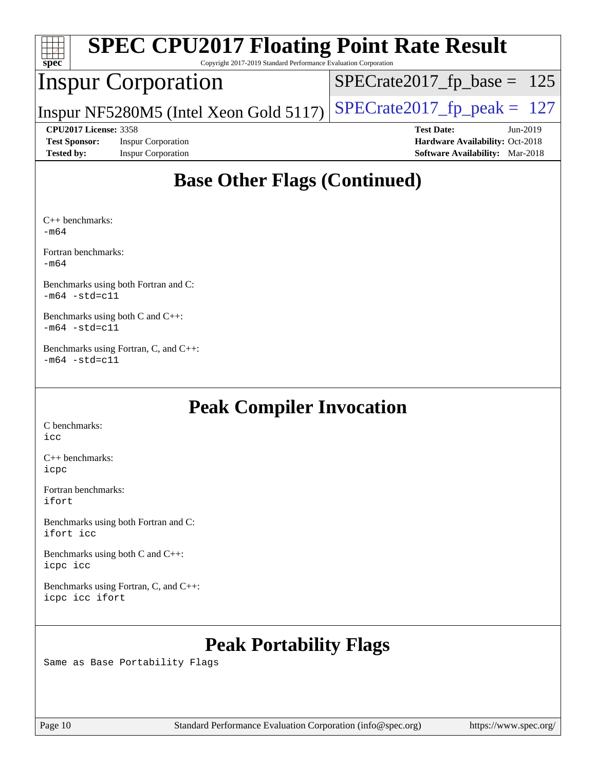| <b>SPEC CPU2017 Floating Point Rate Result</b><br>$Spec^*$<br>Copyright 2017-2019 Standard Performance Evaluation Corporation |                                        |                                        |  |  |  |  |  |
|-------------------------------------------------------------------------------------------------------------------------------|----------------------------------------|----------------------------------------|--|--|--|--|--|
|                                                                                                                               | <b>Inspur Corporation</b>              | $SPECrate2017_fp\_base = 125$          |  |  |  |  |  |
|                                                                                                                               | Inspur NF5280M5 (Intel Xeon Gold 5117) | $SPECrate2017_fp\_peak = 127$          |  |  |  |  |  |
| <b>CPU2017 License: 3358</b>                                                                                                  |                                        | <b>Test Date:</b><br>$Jun-2019$        |  |  |  |  |  |
| <b>Test Sponsor:</b>                                                                                                          | <b>Inspur Corporation</b>              | Hardware Availability: Oct-2018        |  |  |  |  |  |
| <b>Tested by:</b>                                                                                                             | <b>Inspur Corporation</b>              | <b>Software Availability:</b> Mar-2018 |  |  |  |  |  |
| <b>Base Other Flags (Continued)</b>                                                                                           |                                        |                                        |  |  |  |  |  |

[C++ benchmarks](http://www.spec.org/auto/cpu2017/Docs/result-fields.html#CXXbenchmarks): [-m64](http://www.spec.org/cpu2017/results/res2019q3/cpu2017-20190619-15355.flags.html#user_CXXbase_intel_intel64_18.0_af43caccfc8ded86e7699f2159af6efc7655f51387b94da716254467f3c01020a5059329e2569e4053f409e7c9202a7efc638f7a6d1ffb3f52dea4a3e31d82ab)

[Fortran benchmarks:](http://www.spec.org/auto/cpu2017/Docs/result-fields.html#Fortranbenchmarks) [-m64](http://www.spec.org/cpu2017/results/res2019q3/cpu2017-20190619-15355.flags.html#user_FCbase_intel_intel64_18.0_af43caccfc8ded86e7699f2159af6efc7655f51387b94da716254467f3c01020a5059329e2569e4053f409e7c9202a7efc638f7a6d1ffb3f52dea4a3e31d82ab)

[Benchmarks using both Fortran and C:](http://www.spec.org/auto/cpu2017/Docs/result-fields.html#BenchmarksusingbothFortranandC)  $-m64 - std= c11$  $-m64 - std= c11$ 

[Benchmarks using both C and C++](http://www.spec.org/auto/cpu2017/Docs/result-fields.html#BenchmarksusingbothCandCXX):  $-m64 - std= c11$  $-m64 - std= c11$ 

[Benchmarks using Fortran, C, and C++](http://www.spec.org/auto/cpu2017/Docs/result-fields.html#BenchmarksusingFortranCandCXX):  $-m64 - std= c11$  $-m64 - std= c11$ 

## **[Peak Compiler Invocation](http://www.spec.org/auto/cpu2017/Docs/result-fields.html#PeakCompilerInvocation)**

[C benchmarks](http://www.spec.org/auto/cpu2017/Docs/result-fields.html#Cbenchmarks): [icc](http://www.spec.org/cpu2017/results/res2019q3/cpu2017-20190619-15355.flags.html#user_CCpeak_intel_icc_18.0_66fc1ee009f7361af1fbd72ca7dcefbb700085f36577c54f309893dd4ec40d12360134090235512931783d35fd58c0460139e722d5067c5574d8eaf2b3e37e92)

[C++ benchmarks:](http://www.spec.org/auto/cpu2017/Docs/result-fields.html#CXXbenchmarks) [icpc](http://www.spec.org/cpu2017/results/res2019q3/cpu2017-20190619-15355.flags.html#user_CXXpeak_intel_icpc_18.0_c510b6838c7f56d33e37e94d029a35b4a7bccf4766a728ee175e80a419847e808290a9b78be685c44ab727ea267ec2f070ec5dc83b407c0218cded6866a35d07)

[Fortran benchmarks](http://www.spec.org/auto/cpu2017/Docs/result-fields.html#Fortranbenchmarks): [ifort](http://www.spec.org/cpu2017/results/res2019q3/cpu2017-20190619-15355.flags.html#user_FCpeak_intel_ifort_18.0_8111460550e3ca792625aed983ce982f94888b8b503583aa7ba2b8303487b4d8a21a13e7191a45c5fd58ff318f48f9492884d4413fa793fd88dd292cad7027ca)

[Benchmarks using both Fortran and C](http://www.spec.org/auto/cpu2017/Docs/result-fields.html#BenchmarksusingbothFortranandC): [ifort](http://www.spec.org/cpu2017/results/res2019q3/cpu2017-20190619-15355.flags.html#user_CC_FCpeak_intel_ifort_18.0_8111460550e3ca792625aed983ce982f94888b8b503583aa7ba2b8303487b4d8a21a13e7191a45c5fd58ff318f48f9492884d4413fa793fd88dd292cad7027ca) [icc](http://www.spec.org/cpu2017/results/res2019q3/cpu2017-20190619-15355.flags.html#user_CC_FCpeak_intel_icc_18.0_66fc1ee009f7361af1fbd72ca7dcefbb700085f36577c54f309893dd4ec40d12360134090235512931783d35fd58c0460139e722d5067c5574d8eaf2b3e37e92)

[Benchmarks using both C and C++](http://www.spec.org/auto/cpu2017/Docs/result-fields.html#BenchmarksusingbothCandCXX): [icpc](http://www.spec.org/cpu2017/results/res2019q3/cpu2017-20190619-15355.flags.html#user_CC_CXXpeak_intel_icpc_18.0_c510b6838c7f56d33e37e94d029a35b4a7bccf4766a728ee175e80a419847e808290a9b78be685c44ab727ea267ec2f070ec5dc83b407c0218cded6866a35d07) [icc](http://www.spec.org/cpu2017/results/res2019q3/cpu2017-20190619-15355.flags.html#user_CC_CXXpeak_intel_icc_18.0_66fc1ee009f7361af1fbd72ca7dcefbb700085f36577c54f309893dd4ec40d12360134090235512931783d35fd58c0460139e722d5067c5574d8eaf2b3e37e92)

[Benchmarks using Fortran, C, and C++:](http://www.spec.org/auto/cpu2017/Docs/result-fields.html#BenchmarksusingFortranCandCXX) [icpc](http://www.spec.org/cpu2017/results/res2019q3/cpu2017-20190619-15355.flags.html#user_CC_CXX_FCpeak_intel_icpc_18.0_c510b6838c7f56d33e37e94d029a35b4a7bccf4766a728ee175e80a419847e808290a9b78be685c44ab727ea267ec2f070ec5dc83b407c0218cded6866a35d07) [icc](http://www.spec.org/cpu2017/results/res2019q3/cpu2017-20190619-15355.flags.html#user_CC_CXX_FCpeak_intel_icc_18.0_66fc1ee009f7361af1fbd72ca7dcefbb700085f36577c54f309893dd4ec40d12360134090235512931783d35fd58c0460139e722d5067c5574d8eaf2b3e37e92) [ifort](http://www.spec.org/cpu2017/results/res2019q3/cpu2017-20190619-15355.flags.html#user_CC_CXX_FCpeak_intel_ifort_18.0_8111460550e3ca792625aed983ce982f94888b8b503583aa7ba2b8303487b4d8a21a13e7191a45c5fd58ff318f48f9492884d4413fa793fd88dd292cad7027ca)

## **[Peak Portability Flags](http://www.spec.org/auto/cpu2017/Docs/result-fields.html#PeakPortabilityFlags)**

Same as Base Portability Flags

Page 10 Standard Performance Evaluation Corporation [\(info@spec.org\)](mailto:info@spec.org) <https://www.spec.org/>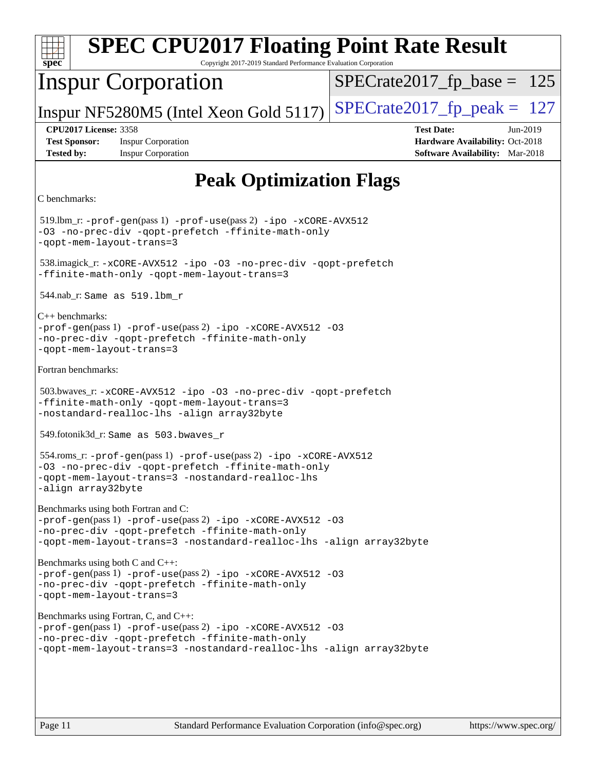| <b>SPEC CPU2017 Floating Point Rate Result</b><br>spec<br>Copyright 2017-2019 Standard Performance Evaluation Corporation                                                                                                      |                                                                                                              |
|--------------------------------------------------------------------------------------------------------------------------------------------------------------------------------------------------------------------------------|--------------------------------------------------------------------------------------------------------------|
| <b>Inspur Corporation</b>                                                                                                                                                                                                      | $SPECrate2017_fp\_base = 125$                                                                                |
| Inspur NF5280M5 (Intel Xeon Gold 5117)                                                                                                                                                                                         | $SPECrate2017_fp\_peak = 127$                                                                                |
| <b>CPU2017 License: 3358</b><br><b>Test Sponsor:</b><br><b>Inspur Corporation</b><br><b>Tested by:</b><br><b>Inspur Corporation</b>                                                                                            | <b>Test Date:</b><br>$Jun-2019$<br>Hardware Availability: Oct-2018<br><b>Software Availability:</b> Mar-2018 |
| <b>Peak Optimization Flags</b>                                                                                                                                                                                                 |                                                                                                              |
| C benchmarks:                                                                                                                                                                                                                  |                                                                                                              |
| 519.lbm_r: -prof-gen(pass 1) -prof-use(pass 2) -ipo -xCORE-AVX512<br>-03 -no-prec-div -qopt-prefetch -ffinite-math-only<br>-qopt-mem-layout-trans=3                                                                            |                                                                                                              |
| 538.imagick_r: -xCORE-AVX512 -ipo -03 -no-prec-div -qopt-prefetch<br>-ffinite-math-only -qopt-mem-layout-trans=3                                                                                                               |                                                                                                              |
| $544.nab_r$ : Same as $519.lbm_r$                                                                                                                                                                                              |                                                                                                              |
| $C_{++}$ benchmarks:<br>-prof-gen(pass 1) -prof-use(pass 2) -ipo -xCORE-AVX512 -03<br>-no-prec-div -qopt-prefetch -ffinite-math-only<br>-qopt-mem-layout-trans=3                                                               |                                                                                                              |
| Fortran benchmarks:                                                                                                                                                                                                            |                                                                                                              |
| 503.bwaves_r: -xCORE-AVX512 -ipo -03 -no-prec-div -qopt-prefetch<br>-ffinite-math-only -qopt-mem-layout-trans=3<br>-nostandard-realloc-lhs -align array32byte                                                                  |                                                                                                              |
| 549.fotonik3d_r: Same as 503.bwaves_r                                                                                                                                                                                          |                                                                                                              |
| 554.roms_r: -prof-gen(pass 1) -prof-use(pass 2) -ipo -xCORE-AVX512<br>-03 -no-prec-div -qopt-prefetch -ffinite-math-only<br>-qopt-mem-layout-trans=3 -nostandard-realloc-lhs<br>-align array32byte                             |                                                                                                              |
| Benchmarks using both Fortran and C:<br>-prof-gen(pass 1) -prof-use(pass 2) -ipo -xCORE-AVX512 -03<br>-no-prec-div -qopt-prefetch -ffinite-math-only<br>-qopt-mem-layout-trans=3 -nostandard-realloc-lhs -align array32byte    |                                                                                                              |
| Benchmarks using both C and C++:<br>-prof-gen(pass 1) -prof-use(pass 2) -ipo -xCORE-AVX512 -03<br>-no-prec-div -qopt-prefetch -ffinite-math-only<br>-qopt-mem-layout-trans=3                                                   |                                                                                                              |
| Benchmarks using Fortran, C, and C++:<br>$-prof-gen(pass 1) -prof-use(pass 2) -ipo -xCORE-AVX512 -03$<br>-no-prec-div -qopt-prefetch -ffinite-math-only<br>-qopt-mem-layout-trans=3 -nostandard-realloc-lhs -align array32byte |                                                                                                              |
|                                                                                                                                                                                                                                |                                                                                                              |